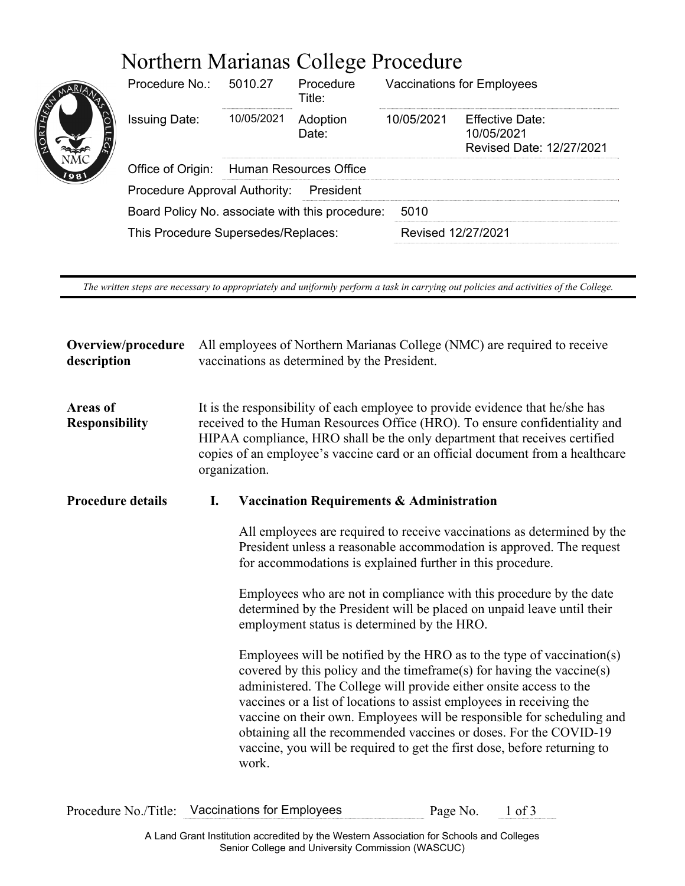# Northern Marianas College Procedure

| <b>ORTHER</b><br>1981 | Procedure No.:                                  | 5010.27                       | Procedure<br>Title: | <b>Vaccinations for Employees</b> |                                                           |  |
|-----------------------|-------------------------------------------------|-------------------------------|---------------------|-----------------------------------|-----------------------------------------------------------|--|
|                       | <b>Issuing Date:</b>                            | 10/05/2021                    | Adoption<br>Date:   | 10/05/2021                        | Effective Date:<br>10/05/2021<br>Revised Date: 12/27/2021 |  |
|                       | Office of Origin:                               | <b>Human Resources Office</b> |                     |                                   |                                                           |  |
|                       | Procedure Approval Authority:<br>President      |                               |                     |                                   |                                                           |  |
|                       | Board Policy No. associate with this procedure: |                               |                     | 5010                              |                                                           |  |
|                       | This Procedure Supersedes/Replaces:             |                               |                     | Revised 12/27/2021                |                                                           |  |
|                       |                                                 |                               |                     |                                   |                                                           |  |

*The written steps are necessary to appropriately and uniformly perform a task in carrying out policies and activities of the College.*

| Overview/procedure<br>description        | All employees of Northern Marianas College (NMC) are required to receive<br>vaccinations as determined by the President.                                                                                                                                                                                                                      |                                                                                                                                                                                                                                                                                                                                                                                                                                                                                                                                   |  |  |  |
|------------------------------------------|-----------------------------------------------------------------------------------------------------------------------------------------------------------------------------------------------------------------------------------------------------------------------------------------------------------------------------------------------|-----------------------------------------------------------------------------------------------------------------------------------------------------------------------------------------------------------------------------------------------------------------------------------------------------------------------------------------------------------------------------------------------------------------------------------------------------------------------------------------------------------------------------------|--|--|--|
| <b>Areas of</b><br><b>Responsibility</b> | It is the responsibility of each employee to provide evidence that he/she has<br>received to the Human Resources Office (HRO). To ensure confidentiality and<br>HIPAA compliance, HRO shall be the only department that receives certified<br>copies of an employee's vaccine card or an official document from a healthcare<br>organization. |                                                                                                                                                                                                                                                                                                                                                                                                                                                                                                                                   |  |  |  |
| <b>Procedure details</b>                 | I.                                                                                                                                                                                                                                                                                                                                            | <b>Vaccination Requirements &amp; Administration</b>                                                                                                                                                                                                                                                                                                                                                                                                                                                                              |  |  |  |
|                                          |                                                                                                                                                                                                                                                                                                                                               | All employees are required to receive vaccinations as determined by the<br>President unless a reasonable accommodation is approved. The request<br>for accommodations is explained further in this procedure.                                                                                                                                                                                                                                                                                                                     |  |  |  |
|                                          |                                                                                                                                                                                                                                                                                                                                               | Employees who are not in compliance with this procedure by the date<br>determined by the President will be placed on unpaid leave until their<br>employment status is determined by the HRO.                                                                                                                                                                                                                                                                                                                                      |  |  |  |
|                                          |                                                                                                                                                                                                                                                                                                                                               | Employees will be notified by the HRO as to the type of vaccination(s)<br>covered by this policy and the timeframe(s) for having the vaccine(s)<br>administered. The College will provide either onsite access to the<br>vaccines or a list of locations to assist employees in receiving the<br>vaccine on their own. Employees will be responsible for scheduling and<br>obtaining all the recommended vaccines or doses. For the COVID-19<br>vaccine, you will be required to get the first dose, before returning to<br>work. |  |  |  |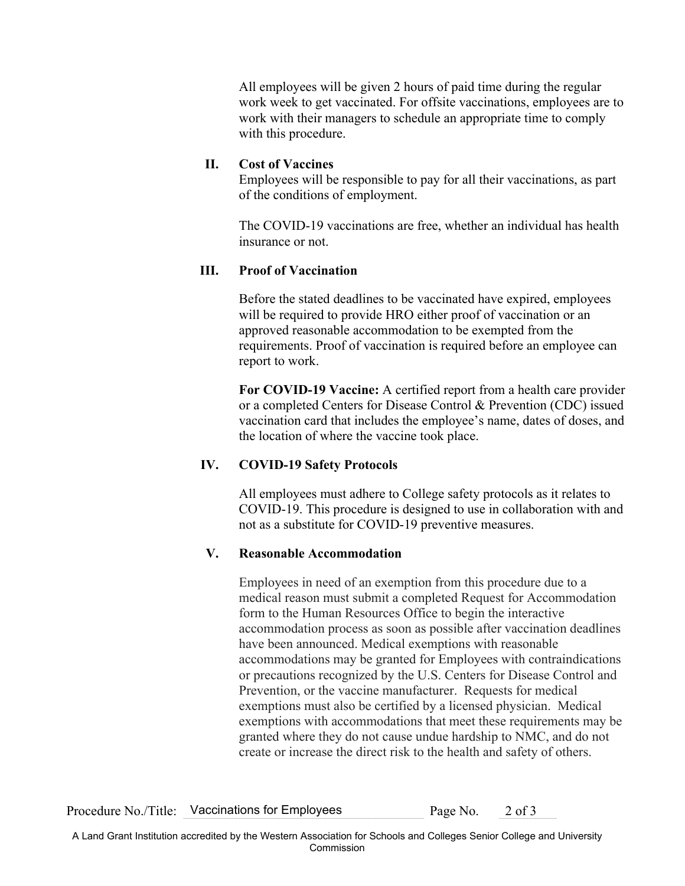All employees will be given 2 hours of paid time during the regular work week to get vaccinated. For offsite vaccinations, employees are to work with their managers to schedule an appropriate time to comply with this procedure.

## **II. Cost of Vaccines**

Employees will be responsible to pay for all their vaccinations, as part of the conditions of employment.

The COVID-19 vaccinations are free, whether an individual has health insurance or not.

### **III. Proof of Vaccination**

Before the stated deadlines to be vaccinated have expired, employees will be required to provide HRO either proof of vaccination or an approved reasonable accommodation to be exempted from the requirements. Proof of vaccination is required before an employee can report to work.

**For COVID-19 Vaccine:** A certified report from a health care provider or a completed Centers for Disease Control & Prevention (CDC) issued vaccination card that includes the employee's name, dates of doses, and the location of where the vaccine took place.

## **IV. COVID-19 Safety Protocols**

All employees must adhere to College safety protocols as it relates to COVID-19. This procedure is designed to use in collaboration with and not as a substitute for COVID-19 preventive measures.

### **V. Reasonable Accommodation**

Employees in need of an exemption from this procedure due to a medical reason must submit a completed Request for Accommodation form to the Human Resources Office to begin the interactive accommodation process as soon as possible after vaccination deadlines have been announced. Medical exemptions with reasonable accommodations may be granted for Employees with contraindications or precautions recognized by the U.S. Centers for Disease Control and Prevention, or the vaccine manufacturer. Requests for medical exemptions must also be certified by a licensed physician. Medical exemptions with accommodations that meet these requirements may be granted where they do not cause undue hardship to NMC, and do not create or increase the direct risk to the health and safety of others.

Procedure No./Title: Vaccinations for Employees Page No. 2 of 3